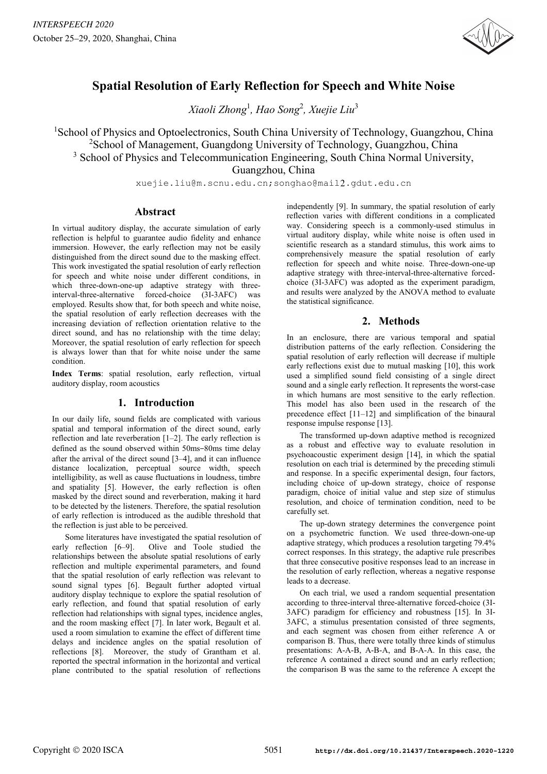

# **Spatial Resolution of Early Reflection for Speech and White Noise**

*Xiaoli Zhong*<sup>1</sup> *, Hao Song*<sup>2</sup> *, Xuejie Liu*<sup>3</sup>

<sup>1</sup>School of Physics and Optoelectronics, South China University of Technology, Guangzhou, China <sup>2</sup>School of Management, Guangdong University of Technology, Guangzhou, China

<sup>3</sup> School of Physics and Telecommunication Engineering, South China Normal University,

Guangzhou, China

xuejie.liu@m.scnu.edu.cn;songhao@mail2.gdut.edu.cn

## **Abstract**

In virtual auditory display, the accurate simulation of early reflection is helpful to guarantee audio fidelity and enhance immersion. However, the early reflection may not be easily distinguished from the direct sound due to the masking effect. This work investigated the spatial resolution of early reflection for speech and white noise under different conditions, in which three-down-one-up adaptive strategy with threeinterval-three-alternative forced-choice (3I-3AFC) was employed. Results show that, for both speech and white noise, the spatial resolution of early reflection decreases with the increasing deviation of reflection orientation relative to the direct sound, and has no relationship with the time delay; Moreover, the spatial resolution of early reflection for speech is always lower than that for white noise under the same condition.

**Index Terms**: spatial resolution, early reflection, virtual auditory display, room acoustics

## **1. Introduction**

In our daily life, sound fields are complicated with various spatial and temporal information of the direct sound, early reflection and late reverberation [1–2]. The early reflection is defined as the sound observed within 50ms-80ms time delay after the arrival of the direct sound [3–4], and it can influence distance localization, perceptual source width, speech intelligibility, as well as cause fluctuations in loudness, timbre and spatiality [5]. However, the early reflection is often masked by the direct sound and reverberation, making it hard to be detected by the listeners. Therefore, the spatial resolution of early reflection is introduced as the audible threshold that the reflection is just able to be perceived.

Some literatures have investigated the spatial resolution of early reflection [6–9]. Olive and Toole studied the relationships between the absolute spatial resolutions of early reflection and multiple experimental parameters, and found that the spatial resolution of early reflection was relevant to sound signal types [6]. Begault further adopted virtual auditory display technique to explore the spatial resolution of early reflection, and found that spatial resolution of early reflection had relationships with signal types, incidence angles, and the room masking effect [7]. In later work, Begault et al. used a room simulation to examine the effect of different time delays and incidence angles on the spatial resolution of reflections [8]. Moreover, the study of Grantham et al. reported the spectral information in the horizontal and vertical plane contributed to the spatial resolution of reflections

independently [9]. In summary, the spatial resolution of early reflection varies with different conditions in a complicated way. Considering speech is a commonly-used stimulus in virtual auditory display, while white noise is often used in scientific research as a standard stimulus, this work aims to comprehensively measure the spatial resolution of early reflection for speech and white noise. Three-down-one-up adaptive strategy with three-interval-three-alternative forcedchoice (3I-3AFC) was adopted as the experiment paradigm, and results were analyzed by the ANOVA method to evaluate the statistical significance.

## **2. Methods**

In an enclosure, there are various temporal and spatial distribution patterns of the early reflection. Considering the spatial resolution of early reflection will decrease if multiple early reflections exist due to mutual masking [10], this work used a simplified sound field consisting of a single direct sound and a single early reflection. It represents the worst-case in which humans are most sensitive to the early reflection. This model has also been used in the research of the precedence effect [11–12] and simplification of the binaural response impulse response [13].

The transformed up-down adaptive method is recognized as a robust and effective way to evaluate resolution in psychoacoustic experiment design [14], in which the spatial resolution on each trial is determined by the preceding stimuli and response. In a specific experimental design, four factors, including choice of up-down strategy, choice of response paradigm, choice of initial value and step size of stimulus resolution, and choice of termination condition, need to be carefully set.

The up-down strategy determines the convergence point on a psychometric function. We used three-down-one-up adaptive strategy, which produces a resolution targeting 79.4% correct responses. In this strategy, the adaptive rule prescribes that three consecutive positive responses lead to an increase in the resolution of early reflection, whereas a negative response leads to a decrease.

On each trial, we used a random sequential presentation according to three-interval three-alternative forced-choice (3I-3AFC) paradigm for efficiency and robustness [15]. In 3I-3AFC, a stimulus presentation consisted of three segments, and each segment was chosen from either reference A or comparison B. Thus, there were totally three kinds of stimulus presentations: A-A-B, A-B-A, and B-A-A. In this case, the reference A contained a direct sound and an early reflection; the comparison B was the same to the reference A except the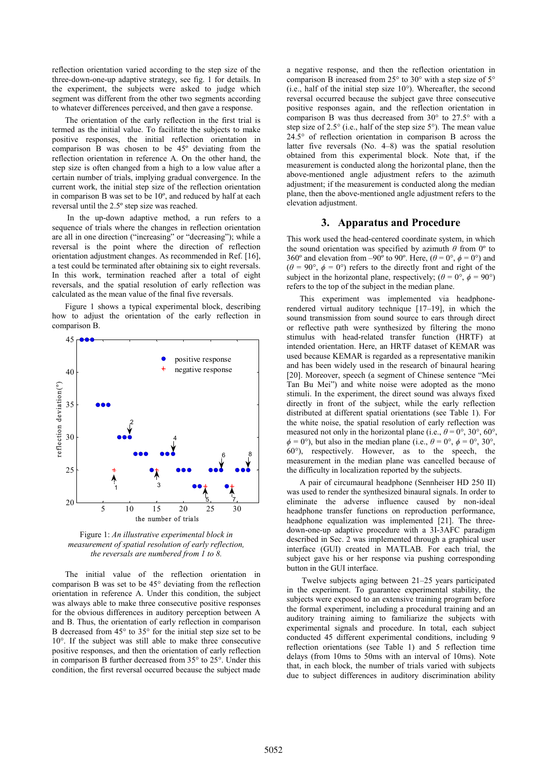reflection orientation varied according to the step size of the three-down-one-up adaptive strategy, see fig. 1 for details. In the experiment, the subjects were asked to judge which segment was different from the other two segments according to whatever differences perceived, and then gave a response.

The orientation of the early reflection in the first trial is termed as the initial value. To facilitate the subjects to make positive responses, the initial reflection orientation in comparison B was chosen to be 45º deviating from the reflection orientation in reference A. On the other hand, the step size is often changed from a high to a low value after a certain number of trials, implying gradual convergence. In the current work, the initial step size of the reflection orientation in comparison B was set to be 10º, and reduced by half at each reversal until the 2.5º step size was reached.

 In the up-down adaptive method, a run refers to a sequence of trials where the changes in reflection orientation are all in one direction ("increasing" or "decreasing"); while a reversal is the point where the direction of reflection orientation adjustment changes. As recommended in Ref. [16], a test could be terminated after obtaining six to eight reversals. In this work, termination reached after a total of eight reversals, and the spatial resolution of early reflection was calculated as the mean value of the final five reversals.

Figure 1 shows a typical experimental block, describing how to adjust the orientation of the early reflection in comparison B.



Figure 1: *An illustrative experimental block in measurement of spatial resolution of early reflection, the reversals are numbered from 1 to 8.* 

The initial value of the reflection orientation in comparison B was set to be 45° deviating from the reflection orientation in reference A. Under this condition, the subject was always able to make three consecutive positive responses for the obvious differences in auditory perception between A and B. Thus, the orientation of early reflection in comparison B decreased from 45° to 35° for the initial step size set to be 10°. If the subject was still able to make three consecutive positive responses, and then the orientation of early reflection in comparison B further decreased from 35° to 25°. Under this condition, the first reversal occurred because the subject made

a negative response, and then the reflection orientation in comparison B increased from 25° to 30° with a step size of 5° (i.e., half of the initial step size 10°). Whereafter, the second reversal occurred because the subject gave three consecutive positive responses again, and the reflection orientation in comparison B was thus decreased from 30° to 27.5° with a step size of 2.5° (i.e., half of the step size 5°). The mean value 24.5° of reflection orientation in comparison B across the latter five reversals (No. 4–8) was the spatial resolution obtained from this experimental block. Note that, if the measurement is conducted along the horizontal plane, then the above-mentioned angle adjustment refers to the azimuth adjustment; if the measurement is conducted along the median plane, then the above-mentioned angle adjustment refers to the elevation adjustment.

## **3. Apparatus and Procedure**

This work used the head-centered coordinate system, in which the sound orientation was specified by azimuth  $\theta$  from 0<sup>o</sup> to 360° and elevation from –90° to 90°. Here,  $(\theta = 0^\circ, \phi = 0^\circ)$  and  $(\theta = 90^{\circ}, \phi = 0^{\circ})$  refers to the directly front and right of the subject in the horizontal plane, respectively; ( $\theta = 0^\circ$ ,  $\phi = 90^\circ$ ) refers to the top of the subject in the median plane.

This experiment was implemented via headphonerendered virtual auditory technique [17–19], in which the sound transmission from sound source to ears through direct or reflective path were synthesized by filtering the mono stimulus with head-related transfer function (HRTF) at intended orientation. Here, an HRTF dataset of KEMAR was used because KEMAR is regarded as a representative manikin and has been widely used in the research of binaural hearing [20]. Moreover, speech (a segment of Chinese sentence "Mei Tan Bu Mei") and white noise were adopted as the mono stimuli. In the experiment, the direct sound was always fixed directly in front of the subject, while the early reflection distributed at different spatial orientations (see Table 1). For the white noise, the spatial resolution of early reflection was measured not only in the horizontal plane (i.e.,  $\theta = 0^{\circ}$ ,  $30^{\circ}$ ,  $60^{\circ}$ ,  $\phi = 0^{\circ}$ , but also in the median plane (i.e.,  $\theta = 0^{\circ}$ ,  $\phi = 0^{\circ}$ , 30°, 60°), respectively. However, as to the speech, the measurement in the median plane was cancelled because of the difficulty in localization reported by the subjects.

A pair of circumaural headphone (Sennheiser HD 250 II) was used to render the synthesized binaural signals. In order to eliminate the adverse influence caused by non-ideal headphone transfer functions on reproduction performance, headphone equalization was implemented [21]. The threedown-one-up adaptive procedure with a 3I-3AFC paradigm described in Sec. 2 was implemented through a graphical user interface (GUI) created in MATLAB. For each trial, the subject gave his or her response via pushing corresponding button in the GUI interface.

 Twelve subjects aging between 21–25 years participated in the experiment. To guarantee experimental stability, the subjects were exposed to an extensive training program before the formal experiment, including a procedural training and an auditory training aiming to familiarize the subjects with experimental signals and procedure. In total, each subject conducted 45 different experimental conditions, including 9 reflection orientations (see Table 1) and 5 reflection time delays (from 10ms to 50ms with an interval of 10ms). Note that, in each block, the number of trials varied with subjects due to subject differences in auditory discrimination ability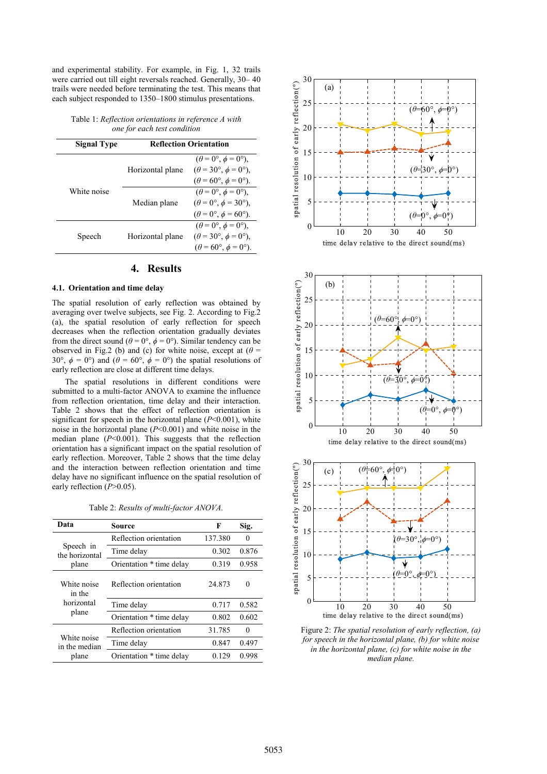and experimental stability. For example, in Fig. 1, 32 trails were carried out till eight reversals reached. Generally, 30– 40 trails were needed before terminating the test. This means that each subject responded to 1350–1800 stimulus presentations.

Table 1: *Reflection orientations in reference A with one for each test condition* 

| Signal Type | <b>Reflection Orientation</b> |                                                                                                                                       |
|-------------|-------------------------------|---------------------------------------------------------------------------------------------------------------------------------------|
| White noise | Horizontal plane              | $(\theta = 0^{\circ}, \phi = 0^{\circ}),$<br>$(\theta = 30^{\circ}, \phi = 0^{\circ}),$<br>$(\theta = 60^{\circ}, \phi = 0^{\circ}).$ |
|             | Median plane                  | $(\theta = 0^{\circ}, \phi = 0^{\circ}),$<br>$(\theta = 0^{\circ}, \phi = 30^{\circ}),$<br>$(\theta = 0^{\circ}, \phi = 60^{\circ}).$ |
| Speech      | Horizontal plane              | $(\theta = 0^{\circ}, \phi = 0^{\circ}).$<br>$(\theta = 30^{\circ}, \phi = 0^{\circ}),$<br>$(\theta = 60^{\circ}, \phi = 0^{\circ}).$ |

## **4. Results**

#### **4.1. Orientation and time delay**

The spatial resolution of early reflection was obtained by averaging over twelve subjects, see Fig. 2. According to Fig.2 (a), the spatial resolution of early reflection for speech decreases when the reflection orientation gradually deviates from the direct sound ( $\theta = 0^{\circ}$ ,  $\phi = 0^{\circ}$ ). Similar tendency can be observed in Fig.2 (b) and (c) for white noise, except at  $(\theta =$ 30°,  $\phi = 0$ °) and  $(\theta = 60$ °,  $\dot{\phi} = 0$ °) the spatial resolutions of early reflection are close at different time delays.

The spatial resolutions in different conditions were submitted to a multi-factor ANOVA to examine the influence from reflection orientation, time delay and their interaction. Table 2 shows that the effect of reflection orientation is significant for speech in the horizontal plane (*P*<0.001), white noise in the horizontal plane (*P*<0.001) and white noise in the median plane  $(P<0.001)$ . This suggests that the reflection orientation has a significant impact on the spatial resolution of early reflection. Moreover, Table 2 shows that the time delay and the interaction between reflection orientation and time delay have no significant influence on the spatial resolution of early reflection (*P*>0.05).

Table 2: *Results of multi-factor ANOVA.*

| Data                                         | Source                   | F       | Sig.     |
|----------------------------------------------|--------------------------|---------|----------|
| Speech in<br>the horizontal<br>plane         | Reflection orientation   | 137.380 | $\Omega$ |
|                                              | Time delay               | 0.302   | 0.876    |
|                                              | Orientation * time delay | 0.319   | 0.958    |
| White noise<br>in the<br>horizontal<br>plane | Reflection orientation   | 24.873  | 0        |
|                                              | Time delay               | 0.717   | 0.582    |
|                                              | Orientation * time delay | 0.802   | 0.602    |
| White noise<br>in the median<br>plane        | Reflection orientation   | 31.785  | 0        |
|                                              | Time delay               | 0.847   | 0.497    |
|                                              | Orientation * time delay | 0.129   | 0.998    |
|                                              |                          |         |          |







Figure 2: *The spatial resolution of early reflection, (a) for speech in the horizontal plane, (b) for white noise in the horizontal plane, (c) for white noise in the median plane.*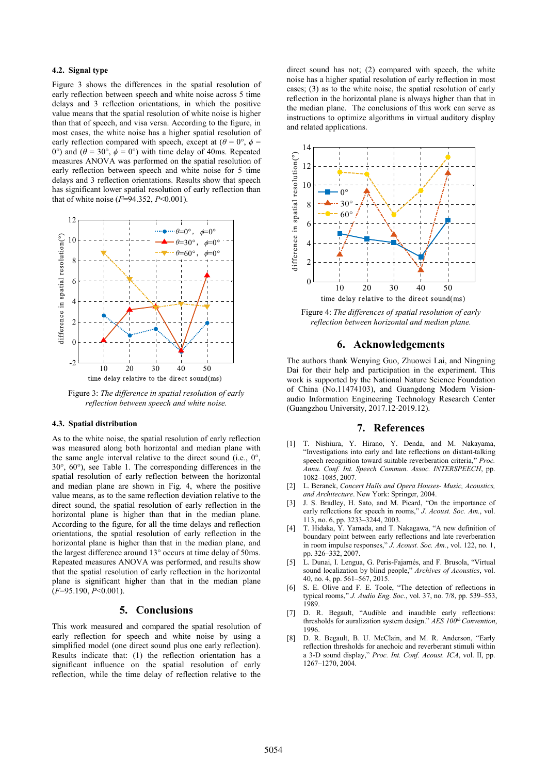### **4.2. Signal type**

Figure 3 shows the differences in the spatial resolution of early reflection between speech and white noise across 5 time delays and 3 reflection orientations, in which the positive value means that the spatial resolution of white noise is higher than that of speech, and visa versa. According to the figure, in most cases, the white noise has a higher spatial resolution of early reflection compared with speech, except at  $(\theta = 0^{\circ}, \phi = 0^{\circ})$ 0°) and  $(\theta = 30^{\circ}, \phi = 0^{\circ})$  with time delay of 40ms. Repeated measures ANOVA was performed on the spatial resolution of early reflection between speech and white noise for 5 time delays and 3 reflection orientations. Results show that speech has significant lower spatial resolution of early reflection than that of white noise (*F*=94.352, *P*<0.001).



Figure 3: *The difference in spatial resolution of early reflection between speech and white noise.*

#### **4.3. Spatial distribution**

As to the white noise, the spatial resolution of early reflection was measured along both horizontal and median plane with the same angle interval relative to the direct sound (i.e., 0°, 30°, 60°), see Table 1. The corresponding differences in the spatial resolution of early reflection between the horizontal and median plane are shown in Fig. 4, where the positive value means, as to the same reflection deviation relative to the direct sound, the spatial resolution of early reflection in the horizontal plane is higher than that in the median plane. According to the figure, for all the time delays and reflection orientations, the spatial resolution of early reflection in the horizontal plane is higher than that in the median plane, and the largest difference around 13° occurs at time delay of 50ms. Repeated measures ANOVA was performed, and results show that the spatial resolution of early reflection in the horizontal plane is significant higher than that in the median plane (*F*=95.190, *P*<0.001).

### **5. Conclusions**

This work measured and compared the spatial resolution of early reflection for speech and white noise by using a simplified model (one direct sound plus one early reflection). Results indicate that: (1) the reflection orientation has a significant influence on the spatial resolution of early reflection, while the time delay of reflection relative to the

direct sound has not; (2) compared with speech, the white noise has a higher spatial resolution of early reflection in most cases; (3) as to the white noise, the spatial resolution of early reflection in the horizontal plane is always higher than that in the median plane. The conclusions of this work can serve as instructions to optimize algorithms in virtual auditory display and related applications.



Figure 4: *The differences of spatial resolution of early reflection between horizontal and median plane.* 

#### **6. Acknowledgements**

The authors thank Wenying Guo, Zhuowei Lai, and Ningning Dai for their help and participation in the experiment. This work is supported by the National Nature Science Foundation of China (No.11474103), and Guangdong Modern Visionaudio Information Engineering Technology Research Center (Guangzhou University, 2017.12-2019.12).

#### **7. References**

- [1] T. Nishiura, Y. Hirano, Y. Denda, and M. Nakayama, "Investigations into early and late reflections on distant-talking speech recognition toward suitable reverberation criteria," *Proc. Annu. Conf. Int. Speech Commun. Assoc. INTERSPEECH*, pp. 1082–1085, 2007.
- [2] L. Beranek, *Concert Halls and Opera Houses- Music, Acoustics, and Architecture*. New York: Springer, 2004.
- J. S. Bradley, H. Sato, and M. Picard, "On the importance of early reflections for speech in rooms," *J. Acoust. Soc. Am.*, vol. 113, no. 6, pp. 3233–3244, 2003.
- [4] T. Hidaka, Y. Yamada, and T. Nakagawa, "A new definition of boundary point between early reflections and late reverberation in room impulse responses," *J. Acoust. Soc. Am.*, vol. 122, no. 1, pp. 326–332, 2007.
- [5] L. Dunai, I. Lengua, G. Peris-Fajarnés, and F. Brusola, "Virtual sound localization by blind people," *Archives of Acoustics*, vol. 40, no. 4, pp. 561–567, 2015.
- [6] S. E. Olive and F. E. Toole, "The detection of reflections in typical rooms," *J. Audio Eng. Soc.*, vol. 37, no. 7/8, pp. 539–553, 1989.
- [7] D. R. Begault, "Audible and inaudible early reflections: thresholds for auralization system design." *AES 100th Convention*, 1996.
- [8] D. R. Begault, B. U. McClain, and M. R. Anderson, "Early reflection thresholds for anechoic and reverberant stimuli within a 3-D sound display," *Proc. Int. Conf. Acoust. ICA*, vol. II, pp. 1267–1270, 2004.